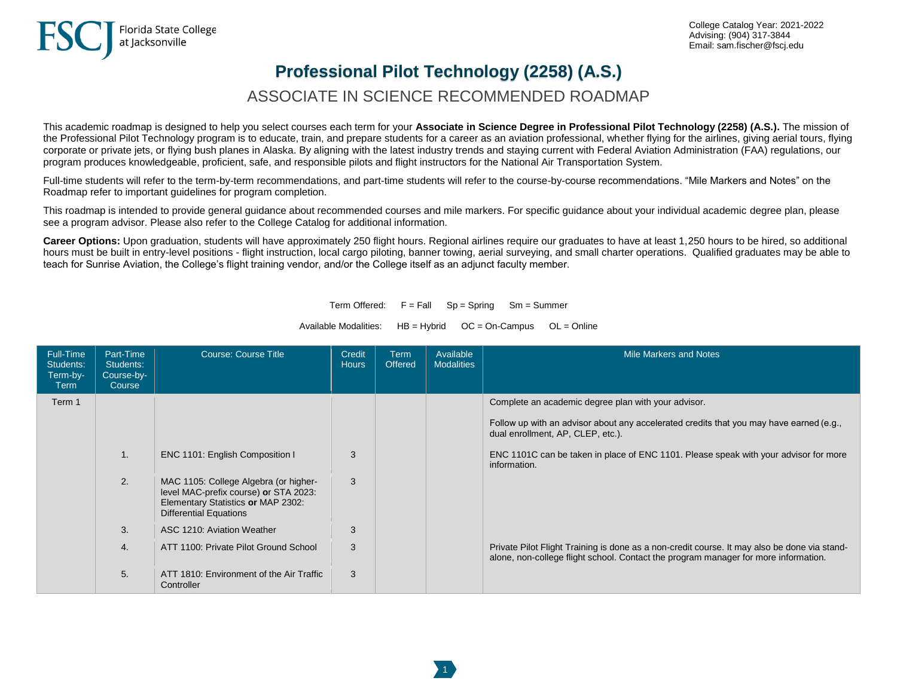## **Professional Pilot Technology (2258) (A.S.)**

## ASSOCIATE IN SCIENCE RECOMMENDED ROADMAP

This academic roadmap is designed to help you select courses each term for your **Associate in Science Degree in Professional Pilot Technology (2258) (A.S.).** The mission of the Professional Pilot Technology program is to educate, train, and prepare students for a career as an aviation professional, whether flying for the airlines, giving aerial tours, flying corporate or private jets, or flying bush planes in Alaska. By aligning with the latest industry trends and staying current with Federal Aviation Administration (FAA) regulations, our program produces knowledgeable, proficient, safe, and responsible pilots and flight instructors for the National Air Transportation System.

Full-time students will refer to the term-by-term recommendations, and part-time students will refer to the course-by-course recommendations. "Mile Markers and Notes" on the Roadmap refer to important guidelines for program completion.

This roadmap is intended to provide general guidance about recommended courses and mile markers. For specific guidance about your individual academic degree plan, please see a program advisor. Please also refer to the College Catalog for additional information.

**Career Options:** Upon graduation, students will have approximately 250 flight hours. Regional airlines require our graduates to have at least 1,250 hours to be hired, so additional hours must be built in entry-level positions - flight instruction, local cargo piloting, banner towing, aerial surveying, and small charter operations. Qualified graduates may be able to teach for Sunrise Aviation, the College's flight training vendor, and/or the College itself as an adjunct faculty member.

Term Offered:  $F = Fall$  Sp = Spring Sm = Summer

Available Modalities:  $HB = Hybrid$   $OC = On-Campus$   $OL = Online$ 

| Full-Time<br>Students:<br>Term-by-<br>Term | Part-Time<br>Students:<br>Course-by-<br>Course | <b>Course: Course Title</b>                                                                                                                           | Credit<br><b>Hours</b> | <b>Term</b><br><b>Offered</b> | Available<br><b>Modalities</b> | Mile Markers and Notes                                                                                                                                                              |
|--------------------------------------------|------------------------------------------------|-------------------------------------------------------------------------------------------------------------------------------------------------------|------------------------|-------------------------------|--------------------------------|-------------------------------------------------------------------------------------------------------------------------------------------------------------------------------------|
| Term 1                                     |                                                |                                                                                                                                                       |                        |                               |                                | Complete an academic degree plan with your advisor.                                                                                                                                 |
|                                            |                                                |                                                                                                                                                       |                        |                               |                                | Follow up with an advisor about any accelerated credits that you may have earned (e.g.,<br>dual enrollment, AP, CLEP, etc.).                                                        |
|                                            | $\mathbf{1}$ .                                 | ENC 1101: English Composition I                                                                                                                       | 3                      |                               |                                | ENC 1101C can be taken in place of ENC 1101. Please speak with your advisor for more<br>information.                                                                                |
|                                            | 2.                                             | MAC 1105: College Algebra (or higher-<br>level MAC-prefix course) or STA 2023:<br>Elementary Statistics or MAP 2302:<br><b>Differential Equations</b> | 3                      |                               |                                |                                                                                                                                                                                     |
|                                            | 3.                                             | ASC 1210: Aviation Weather                                                                                                                            | 3                      |                               |                                |                                                                                                                                                                                     |
|                                            | 4.                                             | ATT 1100: Private Pilot Ground School                                                                                                                 | 3                      |                               |                                | Private Pilot Flight Training is done as a non-credit course. It may also be done via stand-<br>alone, non-college flight school. Contact the program manager for more information. |
|                                            | 5.                                             | ATT 1810: Environment of the Air Traffic<br>Controller                                                                                                | 3                      |                               |                                |                                                                                                                                                                                     |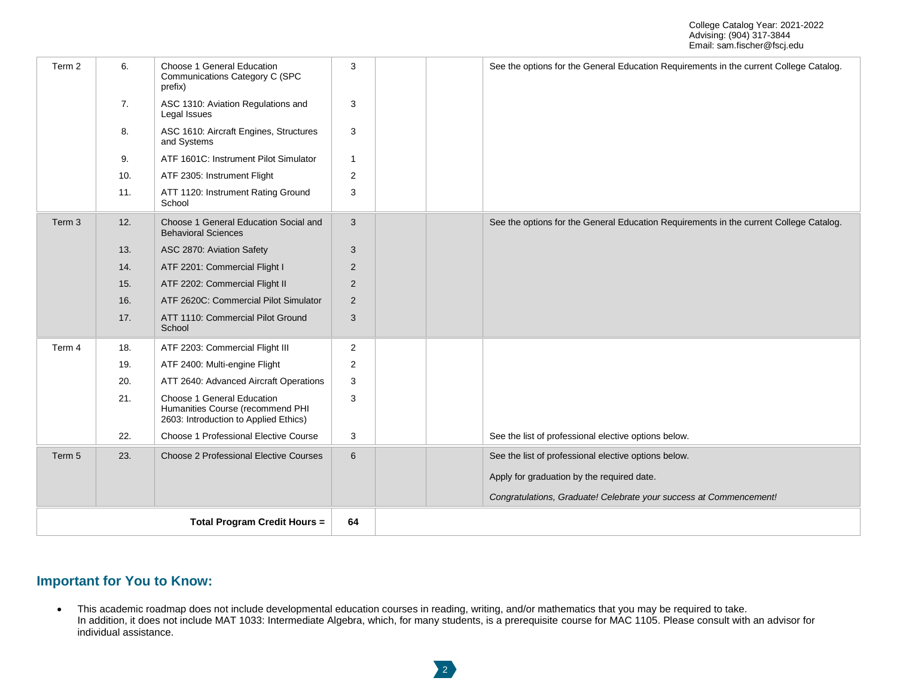| Term 2            | 6.  | Choose 1 General Education<br>Communications Category C (SPC<br>prefix)                                 | 3                       |  | See the options for the General Education Requirements in the current College Catalog. |
|-------------------|-----|---------------------------------------------------------------------------------------------------------|-------------------------|--|----------------------------------------------------------------------------------------|
|                   | 7.  | ASC 1310: Aviation Regulations and<br>Legal Issues                                                      | 3                       |  |                                                                                        |
|                   | 8.  | ASC 1610: Aircraft Engines, Structures<br>and Systems                                                   | 3                       |  |                                                                                        |
|                   | 9.  | ATF 1601C: Instrument Pilot Simulator                                                                   | $\overline{1}$          |  |                                                                                        |
|                   | 10. | ATF 2305: Instrument Flight                                                                             | $\overline{\mathbf{c}}$ |  |                                                                                        |
|                   | 11. | ATT 1120: Instrument Rating Ground<br>School                                                            | 3                       |  |                                                                                        |
| Term <sub>3</sub> | 12. | Choose 1 General Education Social and<br><b>Behavioral Sciences</b>                                     | 3                       |  | See the options for the General Education Requirements in the current College Catalog. |
|                   | 13. | ASC 2870: Aviation Safety                                                                               | 3                       |  |                                                                                        |
|                   | 14. | ATF 2201: Commercial Flight I                                                                           | $\overline{2}$          |  |                                                                                        |
|                   | 15. | ATF 2202: Commercial Flight II                                                                          | $\overline{2}$          |  |                                                                                        |
|                   | 16. | ATF 2620C: Commercial Pilot Simulator                                                                   | 2                       |  |                                                                                        |
|                   | 17. | ATT 1110: Commercial Pilot Ground<br>School                                                             | 3                       |  |                                                                                        |
| Term 4            | 18. | ATF 2203: Commercial Flight III                                                                         | 2                       |  |                                                                                        |
|                   | 19. | ATF 2400: Multi-engine Flight                                                                           | 2                       |  |                                                                                        |
|                   | 20. | ATT 2640: Advanced Aircraft Operations                                                                  | 3                       |  |                                                                                        |
|                   | 21. | Choose 1 General Education<br>Humanities Course (recommend PHI<br>2603: Introduction to Applied Ethics) | 3                       |  |                                                                                        |
|                   | 22. | Choose 1 Professional Elective Course                                                                   | 3                       |  | See the list of professional elective options below.                                   |
| Term 5            | 23. | Choose 2 Professional Elective Courses                                                                  | 6                       |  | See the list of professional elective options below.                                   |
|                   |     |                                                                                                         |                         |  | Apply for graduation by the required date.                                             |
|                   |     |                                                                                                         |                         |  | Congratulations, Graduate! Celebrate your success at Commencement!                     |
|                   |     | <b>Total Program Credit Hours =</b>                                                                     | 64                      |  |                                                                                        |

## **Important for You to Know:**

• This academic roadmap does not include developmental education courses in reading, writing, and/or mathematics that you may be required to take. In addition, it does not include MAT 1033: Intermediate Algebra, which, for many students, is a prerequisite course for MAC 1105. Please consult with an advisor for individual assistance.